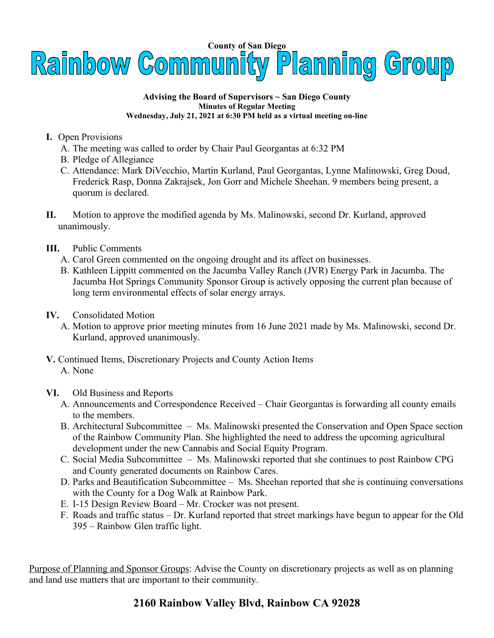

## **Advising the Board of Supervisors ~ San Diego County Minutes of Regular Meeting Wednesday, July 21, 2021 at 6:30 PM held as a virtual meeting on-line**

- **I.** Open Provisions
	- A. The meeting was called to order by Chair Paul Georgantas at 6:32 PM
	- B. Pledge of Allegiance
	- C. Attendance: Mark DiVecchio, Martin Kurland, Paul Georgantas, Lynne Malinowski, Greg Doud, Frederick Rasp, Donna Zakrajsek, Jon Gorr and Michele Sheehan. 9 members being present, a quorum is declared.
- **II.** Motion to approve the modified agenda by Ms. Malinowski, second Dr. Kurland, approved unanimously.
- **III.** Public Comments
	- A. Carol Green commented on the ongoing drought and its affect on businesses.
	- B. Kathleen Lippitt commented on the Jacumba Valley Ranch (JVR) Energy Park in Jacumba. The Jacumba Hot Springs Community Sponsor Group is actively opposing the current plan because of long term environmental effects of solar energy arrays.
- **IV.** Consolidated Motion
	- A. Motion to approve prior meeting minutes from 16 June 2021 made by Ms. Malinowski, second Dr. Kurland, approved unanimously.
- **V.** Continued Items, Discretionary Projects and County Action Items A. None
- **VI.** Old Business and Reports
	- A. Announcements and Correspondence Received Chair Georgantas is forwarding all county emails to the members.
	- B. Architectural Subcommittee Ms. Malinowski presented the Conservation and Open Space section of the Rainbow Community Plan. She highlighted the need to address the upcoming agricultural development under the new Cannabis and Social Equity Program.
	- C. Social Media Subcommittee Ms. Malinowski reported that she continues to post Rainbow CPG and County generated documents on Rainbow Cares.
	- D. Parks and Beautification Subcommittee Ms. Sheehan reported that she is continuing conversations with the County for a Dog Walk at Rainbow Park.
	- E. I-15 Design Review Board Mr. Crocker was not present.
	- F. Roads and traffic status Dr. Kurland reported that street markings have begun to appear for the Old 395 – Rainbow Glen traffic light.

Purpose of Planning and Sponsor Groups: Advise the County on discretionary projects as well as on planning and land use matters that are important to their community.

## **2160 Rainbow Valley Blvd, Rainbow CA 92028**